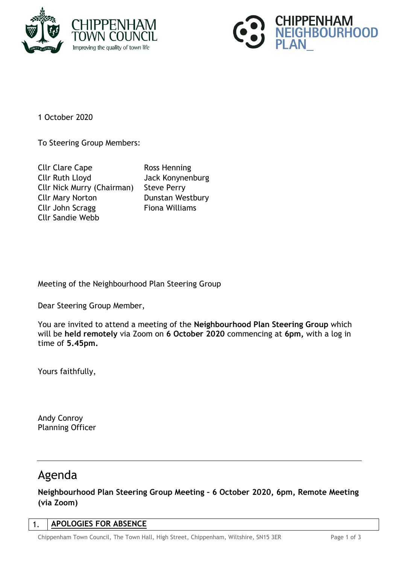



1 October 2020

To Steering Group Members:

Cllr Clare Cape Ross Henning Cllr Ruth Lloyd Jack Konynenburg Cllr Nick Murry (Chairman) Steve Perry Cllr Mary Norton Dunstan Westbury Cllr John Scragg Fiona Williams Cllr Sandie Webb

Meeting of the Neighbourhood Plan Steering Group

Dear Steering Group Member,

You are invited to attend a meeting of the **Neighbourhood Plan Steering Group** which will be **held remotely** via Zoom on **6 October 2020** commencing at **6pm,** with a log in time of **5.45pm.**

Yours faithfully,

Andy Conroy Planning Officer

## Agenda

**Neighbourhood Plan Steering Group Meeting – 6 October 2020, 6pm, Remote Meeting (via Zoom)**

## 1. **APOLOGIES FOR ABSENCE**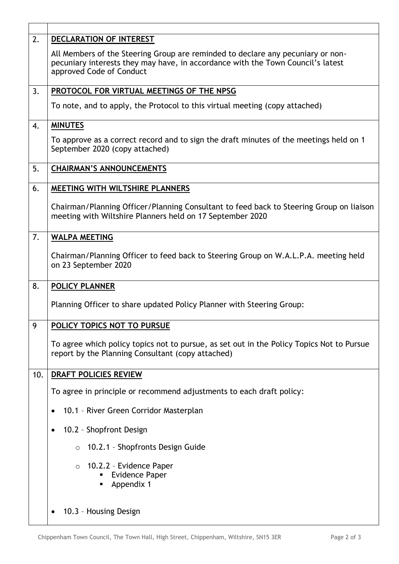| 2.       | DECLARATION OF INTEREST                                                                                                                                                                        |
|----------|------------------------------------------------------------------------------------------------------------------------------------------------------------------------------------------------|
|          | All Members of the Steering Group are reminded to declare any pecuniary or non-<br>pecuniary interests they may have, in accordance with the Town Council's latest<br>approved Code of Conduct |
| 3.       | PROTOCOL FOR VIRTUAL MEETINGS OF THE NPSG                                                                                                                                                      |
|          | To note, and to apply, the Protocol to this virtual meeting (copy attached)                                                                                                                    |
| 4.       | <b>MINUTES</b>                                                                                                                                                                                 |
|          | To approve as a correct record and to sign the draft minutes of the meetings held on 1<br>September 2020 (copy attached)                                                                       |
| 5.       | <b>CHAIRMAN'S ANNOUNCEMENTS</b>                                                                                                                                                                |
| 6.       | MEETING WITH WILTSHIRE PLANNERS                                                                                                                                                                |
|          | Chairman/Planning Officer/Planning Consultant to feed back to Steering Group on liaison<br>meeting with Wiltshire Planners held on 17 September 2020                                           |
| 7.       | <b>WALPA MEETING</b>                                                                                                                                                                           |
|          | Chairman/Planning Officer to feed back to Steering Group on W.A.L.P.A. meeting held<br>on 23 September 2020                                                                                    |
| 8.       | POLICY PLANNER                                                                                                                                                                                 |
|          | Planning Officer to share updated Policy Planner with Steering Group:                                                                                                                          |
| <b>Q</b> | POLICY TOPICS NOT TO PURSUE                                                                                                                                                                    |
|          | To agree which policy topics not to pursue, as set out in the Policy Topics Not to Pursue<br>report by the Planning Consultant (copy attached)                                                 |
| 10.      | DRAFT POLICIES REVIEW                                                                                                                                                                          |
|          | To agree in principle or recommend adjustments to each draft policy:                                                                                                                           |
|          | 10.1 - River Green Corridor Masterplan                                                                                                                                                         |
|          | 10.2 - Shopfront Design                                                                                                                                                                        |
|          | 10.2.1 - Shopfronts Design Guide<br>$\circ$                                                                                                                                                    |
|          | 10.2.2 - Evidence Paper<br>$\circ$<br><b>Evidence Paper</b><br>Appendix 1<br>٠                                                                                                                 |
|          | 10.3 - Housing Design                                                                                                                                                                          |

 $\Gamma$